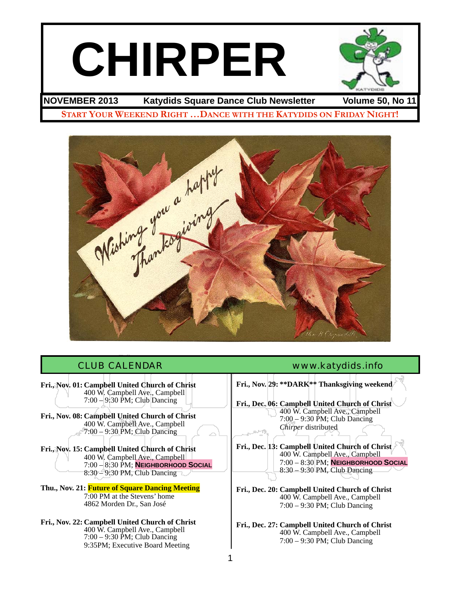# **CHIRPER**



**NOVEMBER 2013 Katydids Square Dance Club Newsletter Volume 50, No 11**

**START YOUR WEEKEND RIGHT …DANCE WITH THE KATYDIDS ON FRIDAY NIGHT!**



**Fri., Nov. 01: Campbell United Church of Christ** ! ! 400 W. Campbell Ave., Campbell 7:00 – 9:30 PM; Club Dancing

**Fri., Nov. 08: Campbell United Church of Christ** 400 W. Campbell Ave., Campbell  $7:00 - 9:30$  PM; Club Dancing

**Fri., Nov. 15: Campbell United Church of Christ** 400 W. Campbell Ave., Campbell ! ! 7:00 – 8:30 PM; **NEIGHBORHOOD SOCIAL**  $8:30 - 9:30 \text{ PM}$ , Club Dancing

**Thu., Nov. 21: Future of Square Dancing Meeting**<br>7:00 PM at the Stevens' home 4862 Morden Dr., San José

**Fri., Nov. 22: Campbell United Church of Christ** ! ! 400 W. Campbell Ave., Campbell ! ! 7:00 – 9:30 PM; Club Dancing 9:35PM; Executive Board Meeting

### CLUB CALENDAR [www.katydids.info](http://www.katydids.info)

**Fri., Nov. 29: \*\*DARK\*\* Thanksgiving weekend Fri., Dec. 06: Campbell United Church of Christ** ! ! 400 W. Campbell Ave., Campbell 7:00 – 9:30 PM; Club Dancing *Chirper* distributed **Fri., Dec. 13: Campbell United Church of Christ** ! ! 400 W. Campbell Ave., Campbell ! ! 7:00 – 8:30 PM; **NEIGHBORHOOD SOCIAL** 8:30 – 9:30 PM, Club Dancing **Fri., Dec. 20: Campbell United Church of Christ** 400 W. Campbell Ave., Campbell ! ! 7:00 – 9:30 PM; Club Dancing

**Fri., Dec. 27: Campbell United Church of Christ** 400 W. Campbell Ave., Campbell ! ! 7:00 – 9:30 PM; Club Dancing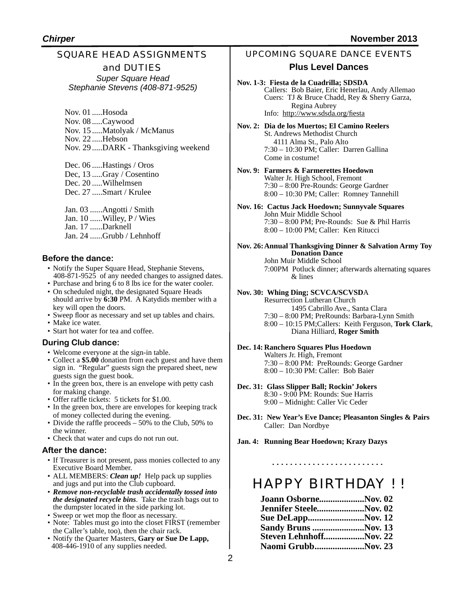### SQUARE HEAD ASSIGNMENTS and DUTIES *Super Square Head*

*Stephanie Stevens (408-871-9525)*

Nov. 01 .....Hosoda Nov. 08 .....Caywood Nov. 15 .....Matolyak / McManus Nov. 22 .....Hebson Nov. 29 .....DARK - Thanksgiving weekend

Dec. 06 .....Hastings / Oros Dec, 13 .....Gray / Cosentino Dec. 20 .....Wilhelmsen Dec. 27 .....Smart / Krulee

Jan. 03 ......Angotti / Smith Jan. 10 ......Willey, P / Wies Jan. 17 ......Darknell Jan. 24 ......Grubb / Lehnhoff

#### **Before the dance:**

- Notify the Super Square Head, Stephanie Stevens, 408-871-9525 of any needed changes to assigned dates.
- Purchase and bring 6 to 8 lbs ice for the water cooler.
- On scheduled night, the designated Square Heads should arrive by 6:30 PM. A Katydids member with a key will open the doors.
- Sweep floor as necessary and set up tables and chairs.
- Make ice water.
- Start hot water for tea and coffee.

#### **During Club dance:**

- Welcome everyone at the sign-in table.
- Collect a **\$5.00** donation from each guest and have them sign in. "Regular" guests sign the prepared sheet, new guests sign the guest book.
- In the green box, there is an envelope with petty cash for making change.
- Offer raffle tickets: 5 tickets for \$1.00.
- In the green box, there are envelopes for keeping track of money collected during the evening.
- Divide the raffle proceeds 50% to the Club, 50% to the winner.
- Check that water and cups do not run out.

#### **After the dance:**

- If Treasurer is not present, pass monies collected to any Executive Board Member.
- ALL MEMBERS: *Clean up!* Help pack up supplies and jugs and put into the Club cupboard.
- *Remove non-recyclable trash accidentally tossed into the designated recycle bins*. Take the trash bags out to the dumpster located in the side parking lot.
- Sweep or wet mop the floor as necessary.
- Note: Tables must go into the closet FIRST (remember the Caller's table, too), then the chair rack.
- Notify the Quarter Masters, **Gary or Sue De Lapp,**  408-446-1910 of any supplies needed.

#### UPCOMING SQUARE DANCE EVENTS

#### **Plus Level Dances**

**Nov. 1-3: Fiesta de la Cuadrilla; SDSDA** Callers: Bob Baier, Eric Henerlau, Andy Allemao Cuers: TJ & Bruce Chadd, Rey & Sherry Garza, Regina Aubrey Info: <http://www.sdsda.org/fiesta>

**Nov. 2: Dia de los Muertos; El Camino Reelers** St. Andrews Methodist Church 4111 Alma St., Palo Alto 7:30 – 10:30 PM; Caller: Darren Gallina Come in costume!

**Nov. 9: Farmers & Farmerettes Hoedown** Walter Jr. High School, Fremont 7:30 – 8:00 Pre-Rounds: George Gardner 8:00 – 10:30 PM; Caller: Romney Tannehill

**Nov. 16: Cactus Jack Hoedown; Sunnyvale Squares** John Muir Middle School 7:30 – 8:00 PM; Pre-Rounds: Sue & Phil Harris 8:00 – 10:00 PM; Caller: Ken Ritucci

**Nov. 26:Annual Thanksgiving Dinner & Salvation Army Toy ! ! Donation Dance** John Muir Middle School 7:00PM Potluck dinner; afterwards alternating squares & lines

#### **Nov. 30: Whing Ding; SCVCA/SCVSD**A

Resurrection Lutheran Church 1495 Cabrillo Ave., Santa Clara 7:30 – 8:00 PM; PreRounds: Barbara-Lynn Smith 8:00 – 10:15 PM;Callers: Keith Ferguson, **Tork Clark**, ! ! Diana Hilliard, **Roger Smith**

**Dec. 14: Ranchero Squares Plus Hoedown** Walters Jr. High, Fremont

7:30 – 8:00 PM: PreRounds: George Gardner 8:00 – 10:30 PM: Caller: Bob Baier

**Dec. 31: Glass Slipper Ball; Rockin' Jokers** 8:30 - 9:00 PM: Rounds: Sue Harris 9:00 – Midnight: Caller Vic Ceder

**Dec. 31: New Year's Eve Dance; Pleasanton Singles & Pairs** Caller: Dan Nordbye

**Jan. 4: Running Bear Hoedown; Krazy Dazys**

## HAPPY BIRTHDAY ! !

| Joann OsborneNov. 02       |  |
|----------------------------|--|
| Jennifer SteeleNov. 02     |  |
| Sue DeLappNov. 12          |  |
| <b>Sandy Bruns Nov. 13</b> |  |
| Steven LehnhoffNov. 22     |  |
| Naomi GrubbNov. 23         |  |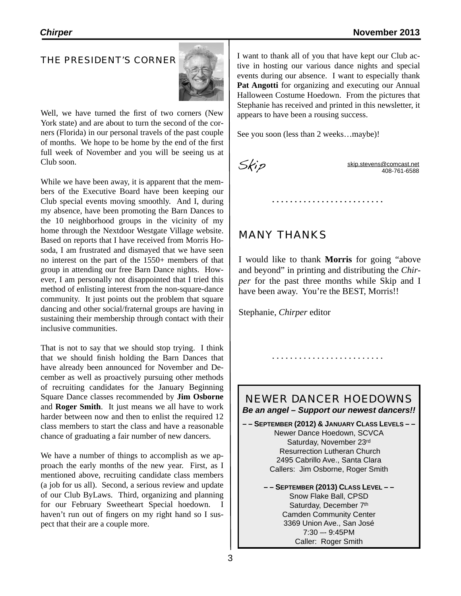#### THE PRESIDENT'S CORNER



Well, we have turned the first of two corners (New York state) and are about to turn the second of the corners (Florida) in our personal travels of the past couple of months. We hope to be home by the end of the first full week of November and you will be seeing us at Club soon.

While we have been away, it is apparent that the members of the Executive Board have been keeping our Club special events moving smoothly. And I, during my absence, have been promoting the Barn Dances to the 10 neighborhood groups in the vicinity of my home through the Nextdoor Westgate Village website. Based on reports that I have received from Morris Hosoda, I am frustrated and dismayed that we have seen no interest on the part of the 1550+ members of that group in attending our free Barn Dance nights. However, I am personally not disappointed that I tried this method of enlisting interest from the non-square-dance community. It just points out the problem that square dancing and other social/fraternal groups are having in sustaining their membership through contact with their inclusive communities.

That is not to say that we should stop trying. I think that we should finish holding the Barn Dances that have already been announced for November and December as well as proactively pursuing other methods of recruiting candidates for the January Beginning Square Dance classes recommended by **Jim Osborne** and **Roger Smith**. It just means we all have to work harder between now and then to enlist the required 12 class members to start the class and have a reasonable chance of graduating a fair number of new dancers.

We have a number of things to accomplish as we approach the early months of the new year. First, as I mentioned above, recruiting candidate class members (a job for us all). Second, a serious review and update of our Club ByLaws. Third, organizing and planning for our February Sweetheart Special hoedown. haven't run out of fingers on my right hand so I suspect that their are a couple more.

I want to thank all of you that have kept our Club active in hosting our various dance nights and special events during our absence. I want to especially thank **Pat Angotti** for organizing and executing our Annual Halloween Costume Hoedown. From the pictures that Stephanie has received and printed in this newsletter, it appears to have been a rousing success.

See you soon (less than 2 weeks…maybe)!

 $Skip.$  [skip.stevens@comcast.net](mailto:skip.stevens@comcast.net) 408-761-6588

## MANY THANKS

I would like to thank **Morris** for going "above and beyond" in printing and distributing the *Chirper* for the past three months while Skip and I have been away. You're the BEST, Morris!!

Stephanie, *Chirper* editor

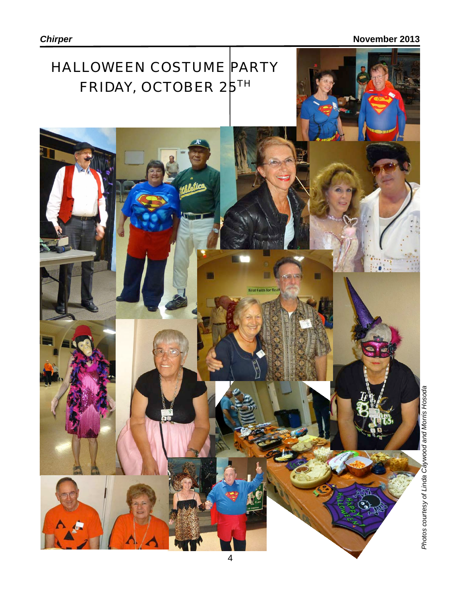# HALLOWEEN COSTUME PARTY FRIDAY, OCTOBER 2<sup>5TH</sup>

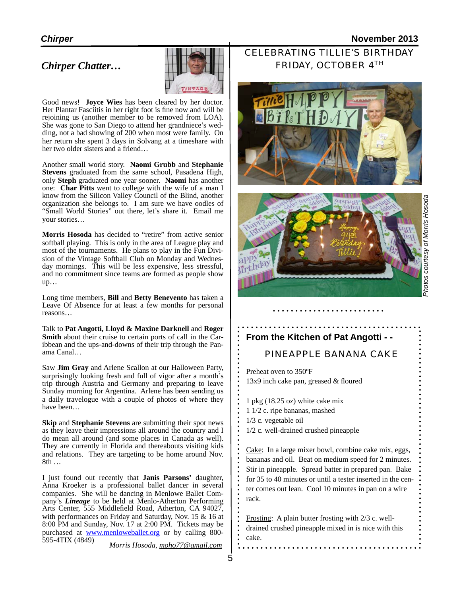#### *Chirper* **November 2013**

#### *Chirper Chatter…*



Good news! **Joyce Wies** has been cleared by her doctor. Her Plantar Fasciitis in her right foot is fine now and will be rejoining us (another member to be removed from LOA). She was gone to San Diego to attend her grandniece's wedding, not a bad showing of 200 when most were family. On her return she spent 3 days in Solvang at a timeshare with her two older sisters and a friend…

Another small world story. **Naomi Grubb** and **Stephanie Stevens** graduated from the same school, Pasadena High, only **Steph** graduated one year sooner. **Naomi** has another one: **Char Pitts** went to college with the wife of a man I know from the Silicon Valley Council of the Blind, another organization she belongs to. I am sure we have oodles of "Small World Stories" out there, let's share it. Email me your stories…

**Morris Hosoda** has decided to "retire" from active senior softball playing. This is only in the area of League play and most of the tournaments. He plans to play in the Fun Division of the Vintage Softball Club on Monday and Wednesday mornings. This will be less expensive, less stressful, and no commitment since teams are formed as people show up…

Long time members, **Bill** and **Betty Benevento** has taken a Leave Of Absence for at least a few months for personal reasons…

Talk to **Pat Angotti, Lloyd & Maxine Darknell** and **Roger Smith** about their cruise to certain ports of call in the Caribbean and the ups-and-downs of their trip through the Panama Canal…

Saw **Jim Gray** and Arlene Scallon at our Halloween Party, surprisingly looking fresh and full of vigor after a month's trip through Austria and Germany and preparing to leave Sunday morning for Argentina. Arlene has been sending us a daily travelogue with a couple of photos of where they have been…

**Skip** and **Stephanie Stevens** are submitting their spot news as they leave their impressions all around the country and I do mean all around (and some places in Canada as well). They are currently in Florida and thereabouts visiting kids and relations. They are targeting to be home around Nov. 8th …

I just found out recently that **Janis Parsons'** daughter, Anna Kroeker is a professional ballet dancer in several companies. She will be dancing in Menlowe Ballet Company's *Lineage* to be held at Menlo-Atherton Performing Arts Center, 555 Middlefield Road, Atherton, CA 94027, with performances on Friday and Saturday, Nov. 15 & 16 at 8:00 PM and Sunday, Nov. 17 at 2:00 PM. Tickets may be purchased at [www.menloweballet.org](http://www.menloweballet.org) or by calling 800- 595-4TIX (4849)

*Morris Hosoda, moho77@gmail.com*

## CELEBRATING TILLIE'S BIRTHDAY FRIDAY, OCTOBER 4TH





# Photos courtesy of Morris Hosoda *Photos courtesy of Morris Hosoda*

#### **From the Kitchen of Pat Angotti - -**

#### PINEAPPLE BANANA CAKE

Preheat oven to 350ºF 13x9 inch cake pan, greased & floured

1 pkg (18.25 oz) white cake mix 1 1/2 c. ripe bananas, mashed 1/3 c. vegetable oil 1/2 c. well-drained crushed pineapple

Cake: In a large mixer bowl, combine cake mix, eggs, bananas and oil. Beat on medium speed for 2 minutes. Stir in pineapple. Spread batter in prepared pan. Bake for 35 to 40 minutes or until a tester inserted in the center comes out lean. Cool 10 minutes in pan on a wire rack.

Frosting: A plain butter frosting with 2/3 c. welldrained crushed pineapple mixed in is nice with this cake.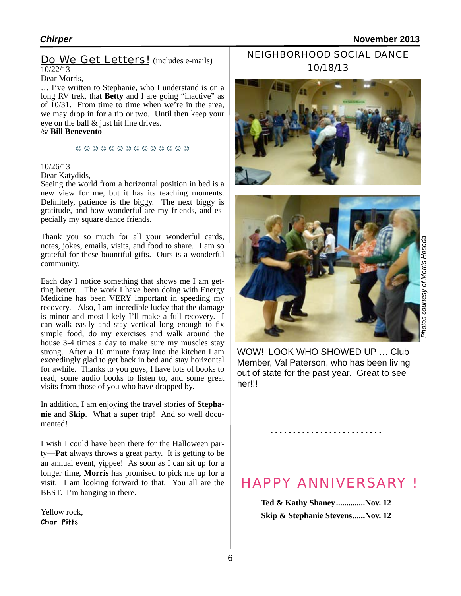#### Do We Get Letters! (includes e-mails) 10/22/13

#### Dear Morris,

… I've written to Stephanie, who I understand is on a long RV trek, that **Betty** and I are going "inactive" as of 10/31. From time to time when we're in the area, we may drop in for a tip or two. Until then keep your eye on the ball & just hit line drives.

#### /s/ **Bill Benevento**

#### ☺☺☺☺☺☺☺☺☺☺☺☺☺☺

#### 10/26/13

#### Dear Katydids,

Seeing the world from a horizontal position in bed is a new view for me, but it has its teaching moments. Definitely, patience is the biggy. The next biggy is gratitude, and how wonderful are my friends, and especially my square dance friends.

Thank you so much for all your wonderful cards, notes, jokes, emails, visits, and food to share. I am so grateful for these bountiful gifts. Ours is a wonderful community.

Each day I notice something that shows me I am getting better. The work I have been doing with Energy Medicine has been VERY important in speeding my recovery. Also, I am incredible lucky that the damage is minor and most likely I'll make a full recovery. I can walk easily and stay vertical long enough to fix simple food, do my exercises and walk around the house 3-4 times a day to make sure my muscles stay strong. After a 10 minute foray into the kitchen I am exceedingly glad to get back in bed and stay horizontal for awhile. Thanks to you guys, I have lots of books to read, some audio books to listen to, and some great visits from those of you who have dropped by.

In addition, I am enjoying the travel stories of **Stephanie** and **Skip**. What a super trip! And so well documented!

I wish I could have been there for the Halloween party—**Pat** always throws a great party. It is getting to be an annual event, yippee! As soon as I can sit up for a longer time, **Morris** has promised to pick me up for a visit. I am looking forward to that. You all are the BEST. I'm hanging in there.

Yellow rock, Char Pitts

## NEIGHBORHOOD SOCIAL DANCE 10/18/13





WOW! LOOK WHO SHOWED UP ... Club Member, Val Paterson, who has been living out of state for the past year. Great to see her!!!

## HAPPY ANNIVERSARY !

**Ted & Kathy Shaney..............Nov. 12 Skip & Stephanie Stevens......Nov. 12**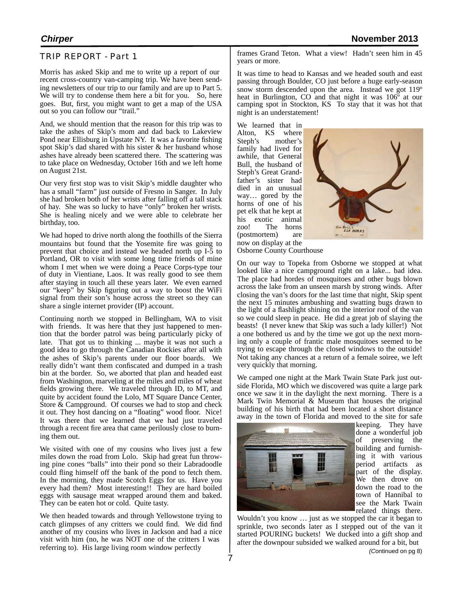#### TRIP REPORT - Part 1

Morris has asked Skip and me to write up a report of our recent cross-country van-camping trip. We have been sending newsletters of our trip to our family and are up to Part 5. We will try to condense them here a bit for you. So, here goes. But, first, you might want to get a map of the USA out so you can follow our "trail."

And, we should mention that the reason for this trip was to take the ashes of Skip's mom and dad back to Lakeview Pond near Ellisburg in Upstate NY. It was a favorite fishing spot Skip's dad shared with his sister & her husband whose ashes have already been scattered there. The scattering was to take place on Wednesday, October 16th and we left home on August 21st.

Our very first stop was to visit Skip's middle daughter who has a small "farm" just outside of Fresno in Sanger. In July she had broken both of her wrists after falling off a tall stack of hay. She was so lucky to have "only" broken her wrists. She is healing nicely and we were able to celebrate her birthday, too.

We had hoped to drive north along the foothills of the Sierra mountains but found that the Yosemite fire was going to prevent that choice and instead we headed north up I-5 to Portland, OR to visit with some long time friends of mine whom I met when we were doing a Peace Corps-type tour of duty in Vientiane, Laos. It was really good to see them after staying in touch all these years later. We even earned our "keep" by Skip figuring out a way to boost the WiFi signal from their son's house across the street so they can share a single internet provider (IP) account.

Continuing north we stopped in Bellingham, WA to visit with friends. It was here that they just happened to mention that the border patrol was being particularly picky of late. That got us to thinking ... maybe it was not such a good idea to go through the Canadian Rockies after all with the ashes of Skip's parents under our floor boards. We really didn't want them confiscated and dumped in a trash bin at the border. So, we aborted that plan and headed east from Washington, marveling at the miles and miles of wheat fields growing there. We traveled through ID, to MT, and quite by accident found the Lolo, MT Square Dance Center, Store  $\&$  Campground. Of courses we had to stop and check it out. They host dancing on a "floating" wood floor. Nice! It was there that we learned that we had just traveled through a recent fire area that came perilously close to burning them out.

We visited with one of my cousins who lives just a few miles down the road from Lolo. Skip had great fun throwing pine cones "balls" into their pond so their Labradoodle could fling himself off the bank of the pond to fetch them. In the morning, they made Scotch Eggs for us. Have you every had them? Most interesting!! They are hard boiled eggs with sausage meat wrapped around them and baked. They can be eaten hot or cold. Quite tasty.

We then headed towards and through Yellowstone trying to catch glimpses of any critters we could find. We did find another of my cousins who lives in Jackson and had a nice visit with him (no, he was NOT one of the critters I was referring to). His large living room window perfectly

frames Grand Teton. What a view! Hadn't seen him in 45 years or more.

It was time to head to Kansas and we headed south and east passing through Boulder, CO just before a huge early-season snow storm descended upon the area. Instead we got 119<sup>o</sup> heat in Burlington, CO and that night it was 106º at our camping spot in Stockton, KS To stay that it was hot that night is an understatement!

We learned that in Alton, KS where Steph's mother's family had lived for awhile, that General Bull, the husband of Steph's Great Grandfather's sister had died in an unusual way… gored by the horns of one of his pet elk that he kept at his exotic animal zoo! The horns<br>(postmortem) are  $(postmortem)$ now on display at the



Osborne County Courthouse

On our way to Topeka from Osborne we stopped at what looked like a nice campground right on a lake... bad idea. The place had hordes of mosquitoes and other bugs blown across the lake from an unseen marsh by strong winds. After closing the van's doors for the last time that night, Skip spent the next 15 minutes ambushing and swatting bugs drawn to the light of a flashlight shining on the interior roof of the van so we could sleep in peace. He did a great job of slaying the beasts! (I never knew that Skip was such a lady killer!) Not a one bothered us and by the time we got up the next morn- ing only a couple of frantic male mosquitoes seemed to be trying to escape through the closed windows to the outside! Not taking any chances at a return of a female soiree, we left very quickly that morning.

We camped one night at the Mark Twain State Park just outside Florida, MO which we discovered was quite a large park once we saw it in the daylight the next morning. There is a Mark Twin Memorial  $\&$  Museum that houses the original building of his birth that had been located a short distance away in the town of Florida and moved to the site for safe



keeping. They have done a wonderful job of preserving the building and furnishing it with various period artifacts as part of the display. We then drove on down the road to the town of Hannibal to see the Mark Twain related things there.

Wouldn't you know … just as we stopped the car it began to sprinkle, two seconds later as I stepped out of the van it started POURING buckets! We ducked into a gift shop and after the downpour subsided we walked around for a bit, but *(C*ontinued on pg 8)

7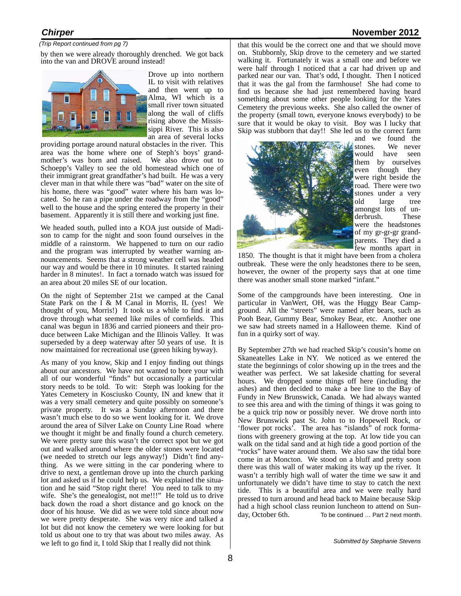#### *Chirper* **November 2012**

#### *(Trip Report continued from pg 7)*

by then we were already thoroughly drenched. We got back into the van and DROVE around instead!



Drove up into northern IL to visit with relatives and then went up to Alma, WI which is a small river town situated along the wall of cliffs rising above the Mississippi River. This is also an area of several locks

providing portage around natural obstacles in the river. This area was the home where one of Steph's boys' grand- mother's was born and raised. We also drove out to Schoepp's Valley to see the old homestead which one of their immigrant great grandfather's had built. He was a very clever man in that while there was "bad" water on the site of his home, there was "good" water where his barn was located. So he ran a pipe under the roadway from the "good" well to the house and the spring entered the property in their basement. Apparently it is still there and working just fine.

We headed south, pulled into a KOA just outside of Madison to camp for the night and soon found ourselves in the middle of a rainstorm. We happened to turn on our radio and the program was interrupted by weather warning announcements. Seems that a strong weather cell was headed our way and would be there in 10 minutes. It started raining harder in 8 minutes!. In fact a tornado watch was issued for an area about 20 miles SE of our location.

On the night of September 21st we camped at the Canal State Park on the I & M Canal in Morris, IL (yes! We thought of you, Morris!) It took us a while to find it and drove through what seemed like miles of cornfields. This canal was begun in 1836 and carried pioneers and their produce between Lake Michigan and the Illinois Valley. It was superseded by a deep waterway after 50 years of use. It is now maintained for recreational use (green hiking byway).

As many of you know, Skip and I enjoy finding out things about our ancestors. We have not wanted to bore your with all of our wonderful "finds" but occasionally a particular story needs to be told. To wit: Steph was looking for the Yates Cemetery in Kosciusko County, IN and knew that it was a very small cemetery and quite possibly on someone's private property. It was a Sunday afternoon and there wasn't much else to do so we went looking for it. We drove around the area of Silver Lake on County Line Road where we thought it might be and finally found a church cemetery. We were pretty sure this wasn't the correct spot but we got out and walked around where the older stones were located (we needed to stretch our legs anyway!) Didn't find anything. As we were sitting in the car pondering where to drive to next, a gentleman drove up into the church parking lot and asked us if he could help us. We explained the situation and he said "Stop right there! You need to talk to my wife. She's the genealogist, not me!!!" He told us to drive back down the road a short distance and go knock on the door of his house. We did as we were told since about now we were pretty desperate. She was very nice and talked a lot but did not know the cemetery we were looking for but told us about one to try that was about two miles away. As we left to go find it, I told Skip that I really did not think

that this would be the correct one and that we should move on. Stubbornly, Skip drove to the cemetery and we started walking it. Fortunately it was a small one and before we were half through I noticed that a car had driven up and parked near our van. That's odd, I thought. Then I noticed that it was the gal from the farmhouse! She had come to find us because she had just remembered having heard something about some other people looking for the Yates Cemetery the previous weeks. She also called the owner of the property (small town, everyone knows everybody) to be sure that it would be okay to visit. Boy was I lucky that Skip was stubborn that day!! She led us to the correct farm



and we found the stones. We never would have seen them by ourselves even though they were right beside the road. There were two stones under a very old large tree amongst lots of un-<br>derbrush. These were the headstones of my gr-gr-gr grandparents. They died a few months apart in

1850. The thought is that it might have been from a cholera outbreak. These were the only headstones there to be seen, however, the owner of the property says that at one time there was another small stone marked "infant."

Some of the campgrounds have been interesting. One in particular in VanWert, OH, was the Huggy Bear Campground. All the "streets" were named after bears, such as Pooh Bear, Gummy Bear, Smokey Bear, etc. Another one we saw had streets named in a Halloween theme. Kind of fun in a quirky sort of way.

By September 27th we had reached Skip's cousin's home on Skaneatelles Lake in NY. We noticed as we entered the state the beginnings of color showing up in the trees and the weather was perfect. We sat lakeside chatting for several hours. We dropped some things off here (including the ashes) and then decided to make a bee line to the Bay of Fundy in New Brunswick, Canada. We had always wanted to see this area and with the timing of things it was going to be a quick trip now or possibly never. We drove north into New Brunswick past St. John to to Hopewell Rock, or 'flower pot rocks'. The area has "islands" of rock formations with greenery growing at the top. At low tide you can walk on the tidal sand and at high tide a good portion of the "rocks" have water around them. We also saw the tidal bore come in at Moncton. We stood on a bluff and pretty soon there was this wall of water making its way up the river. It wasn't a terribly high wall of water the time we saw it and unfortunately we didn't have time to stay to catch the next tide. This is a beautiful area and we were really hard pressed to turn around and head back to Maine because Skip had a high school class reunion luncheon to attend on Sunday, October 6th. To be continued … Part 2 next month.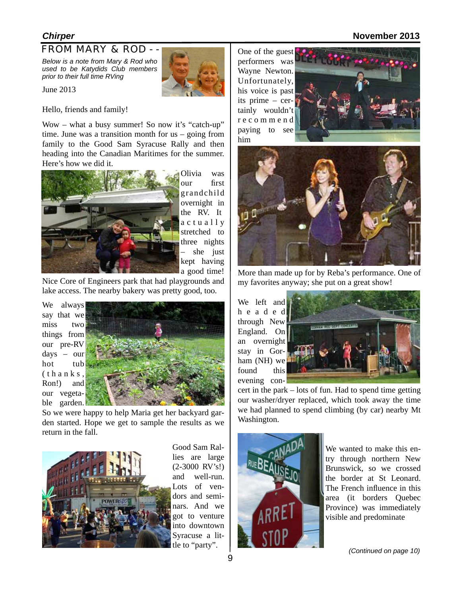#### *Chirper* **November 2013**

#### FROM MARY & ROD - -

*Below is a note from Mary & Rod who used to be Katydids Club members prior to their full time RVing* 

June 2013

Hello, friends and family!

Wow – what a busy summer! So now it's "catch-up" time. June was a transition month for us – going from family to the Good Sam Syracuse Rally and then heading into the Canadian Maritimes for the summer. Here's how we did it.



Olivia was our first grandchild overnight in the RV. It a c t u a l l y stretched to three nights she just kept having a good time!

Nice Core of Engineers park that had playgrounds and lake access. The nearby bakery was pretty good, too.

We always say that we miss two things from our pre-RV days – our hot tub  $(t h a n k s)$ Ron!) and our vegetable garden.



So we were happy to help Maria get her backyard garden started. Hope we get to sample the results as we return in the fall.



Good Sam Rallies are large (2-3000 RV's!) and well-run. Lots of vendors and seminars. And we got to venture into downtown Syracuse a little to "party".

One of the guest performers was Wayne Newton. Unfortunately, his voice is past its prime – certainly wouldn't r e c o m m e n d paying to see him





More than made up for by Reba's performance. One of my favorites anyway; she put on a great show!

We left and h e a d e d through New England. On an overnight stay in Gorham (NH) we found this evening con-



cert in the park – lots of fun. Had to spend time getting our washer/dryer replaced, which took away the time we had planned to spend climbing (by car) nearby Mt Washington.



We wanted to make this entry through northern New Brunswick, so we crossed the border at St Leonard. The French influence in this area (it borders Quebec Province) was immediately visible and predominate

*(Continued on page 10)*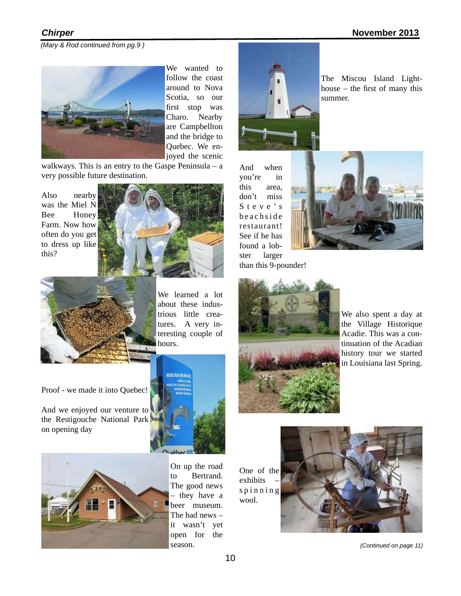*(Mary & Rod continued from pg.9 )*



We wanted to follow the coast around to Nova Scotia, so our first stop was Charo. Nearby are Campbellton and the bridge to Quebec. We enjoyed the scenic

walkways. This is an entry to the Gaspe Peninsula – a very possible future destination.

Also nearby was the Miel N Bee Honey Farm. Now how often do you get to dress up like this?





We learned a lot about these industrious little creatures. A very interesting couple of hours.

Proof - we made it into Quebec!

And we enjoyed our venture to the Restigouche National Park on opening day





On up the road to Bertrand. The good news – they have a beer museum. The bad news – it wasn't yet open for the season.

One of the exhibits s p i n n i n g wool.



*(Continued on page 11)*



The Miscou Island Lighthouse – the first of many this summer.

And when you're in this area, don't miss S t e v e ' s b e a ch side restaurant! See if he has found a lobster larger than this 9-pounder!





We also spent a day at the Village Historique Acadie. This was a continuation of the Acadian history tour we started in Louisiana last Spring.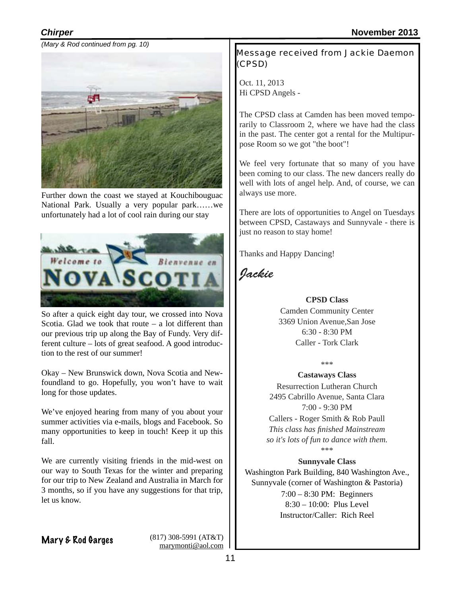*(Mary & Rod continued from pg. 10)*



Further down the coast we stayed at Kouchibouguac National Park. Usually a very popular park……we unfortunately had a lot of cool rain during our stay



So after a quick eight day tour, we crossed into Nova Scotia. Glad we took that route  $-$  a lot different than our previous trip up along the Bay of Fundy. Very different culture – lots of great seafood. A good introduction to the rest of our summer!

Okay – New Brunswick down, Nova Scotia and Newfoundland to go. Hopefully, you won't have to wait long for those updates.

We've enjoyed hearing from many of you about your summer activities via e-mails, blogs and Facebook. So many opportunities to keep in touch! Keep it up this fall.

We are currently visiting friends in the mid-west on our way to South Texas for the winter and preparing for our trip to New Zealand and Australia in March for 3 months, so if you have any suggestions for that trip, let us know.

Mary & Rod Garges (817) 308-5991 (AT&T) [marymonti@aol.com](mailto:marymonti@aol.com) Message received from Jackie Daemon (CPSD)

Oct. 11, 2013 Hi CPSD Angels -

The CPSD class at Camden has been moved temporarily to Classroom 2, where we have had the class in the past. The center got a rental for the Multipurpose Room so we got "the boot"!

We feel very fortunate that so many of you have been coming to our class. The new dancers really do well with lots of angel help. And, of course, we can always use more.

There are lots of opportunities to Angel on Tuesdays between CPSD, Castaways and Sunnyvale - there is just no reason to stay home!

Thanks and Happy Dancing!

*Jackie*

#### **CPSD Class**

Camden Community Center 3369 Union Avenue,San Jose 6:30 - 8:30 PM Caller - Tork Clark

\*\*\*

**Castaways Class**  Resurrection Lutheran Church 2495 Cabrillo Avenue, Santa Clara 7:00 - 9:30 PM

Callers - Roger Smith & Rob Paull *This class has finished Mainstream so it's lots of fun to dance with them.*

\*\*\*

#### **Sunnyvale Class**

Washington Park Building, 840 Washington Ave., Sunnyvale (corner of Washington & Pastoria) 7:00 – 8:30 PM: Beginners 8:30 – 10:00: Plus Level Instructor/Caller: Rich Reel